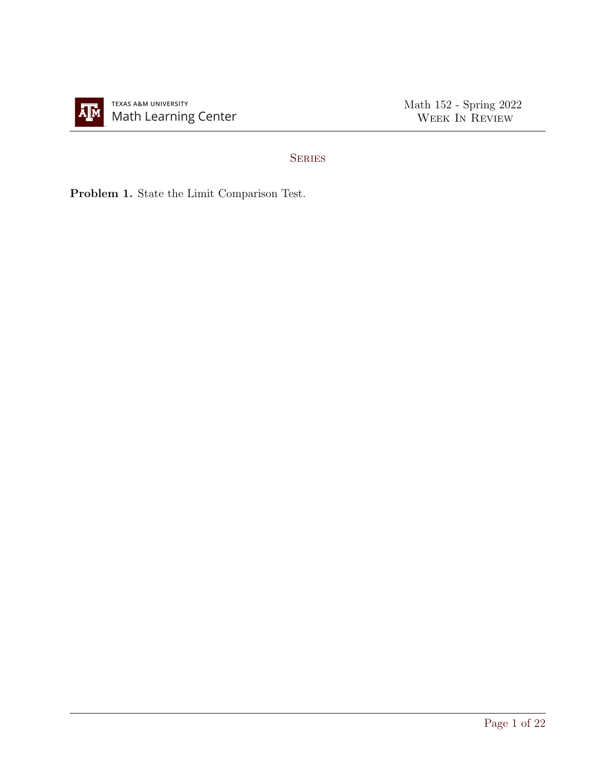

## **SERIES**

Problem 1. State the Limit Comparison Test.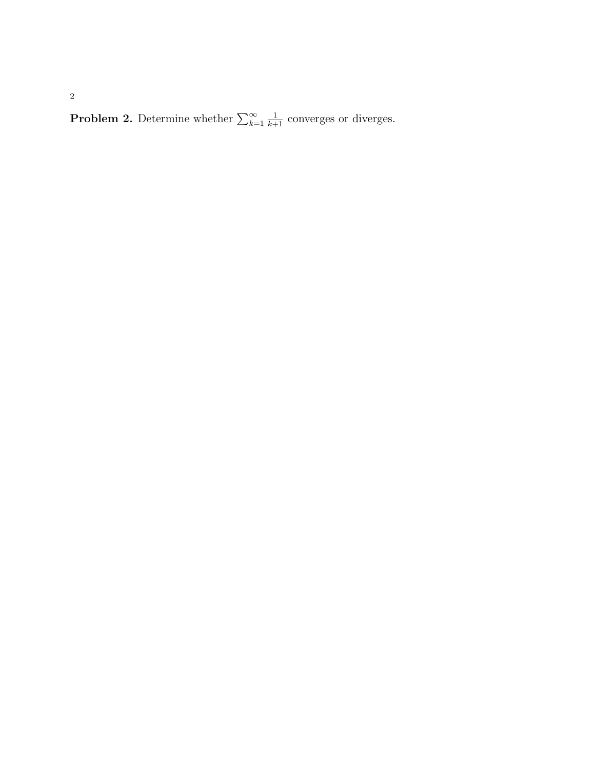**Problem 2.** Determine whether  $\sum_{k=1}^{\infty}$  $\frac{1}{k+1}$  converges or diverges.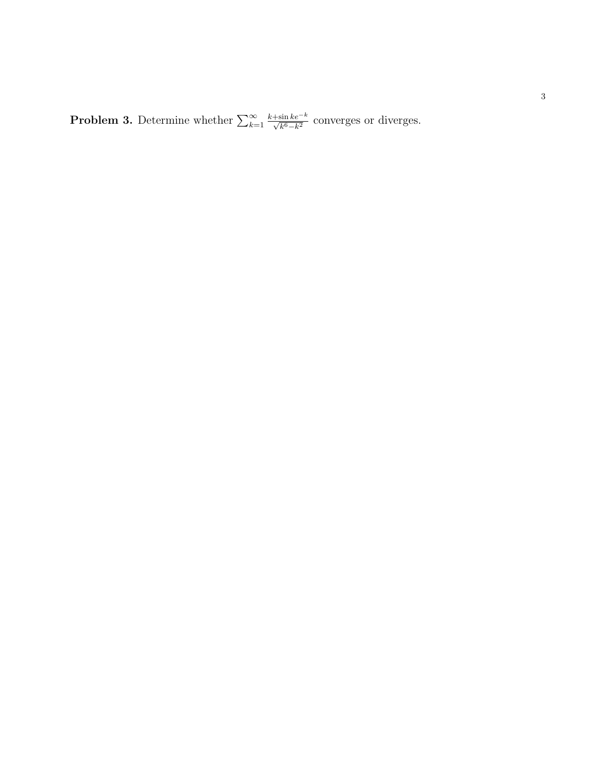**Problem 3.** Determine whether  $\sum_{k=1}^{\infty}$  $\frac{k+\sin ke^{-k}}{\sqrt{k^6-k^2}}$  converges or diverges.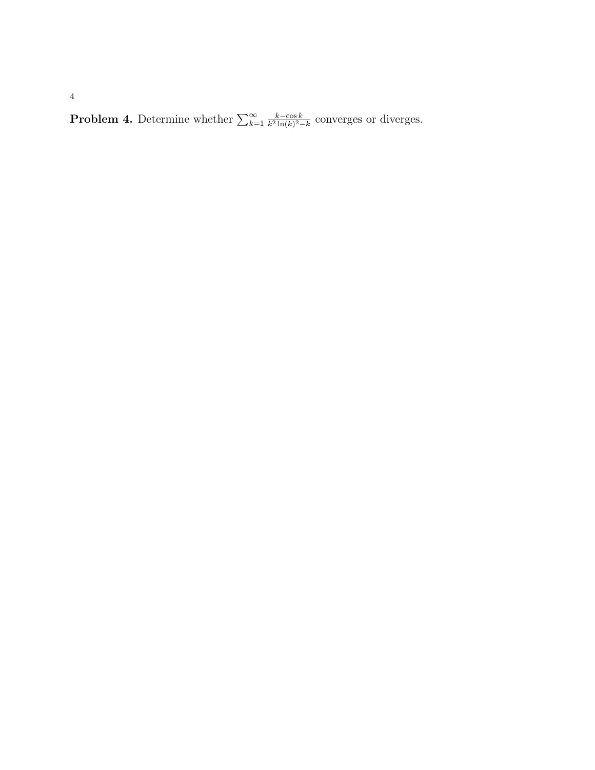**Problem 4.** Determine whether  $\sum_{k=1}^{\infty}$  $k - \cos k$  $\frac{k-\cos k}{k^2 \ln(k)^2-k}$  converges or diverges.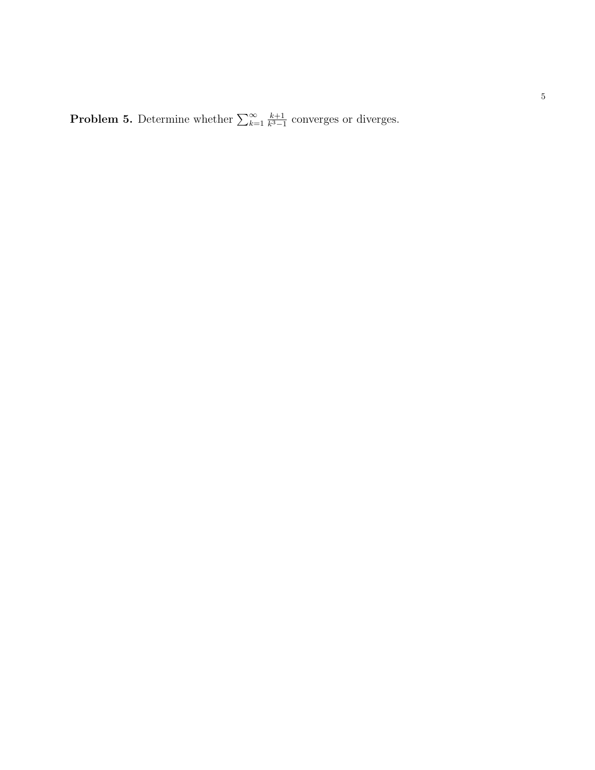**Problem 5.** Determine whether  $\sum_{k=1}^{\infty}$  $k+1$  $\frac{k+1}{k^3-1}$  converges or diverges.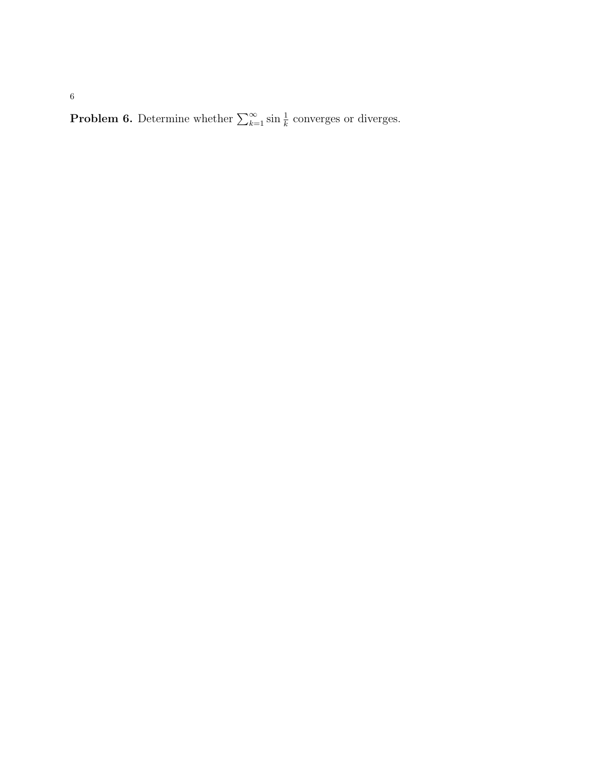**Problem 6.** Determine whether  $\sum_{k=1}^{\infty} \sin \frac{1}{k}$  converges or diverges.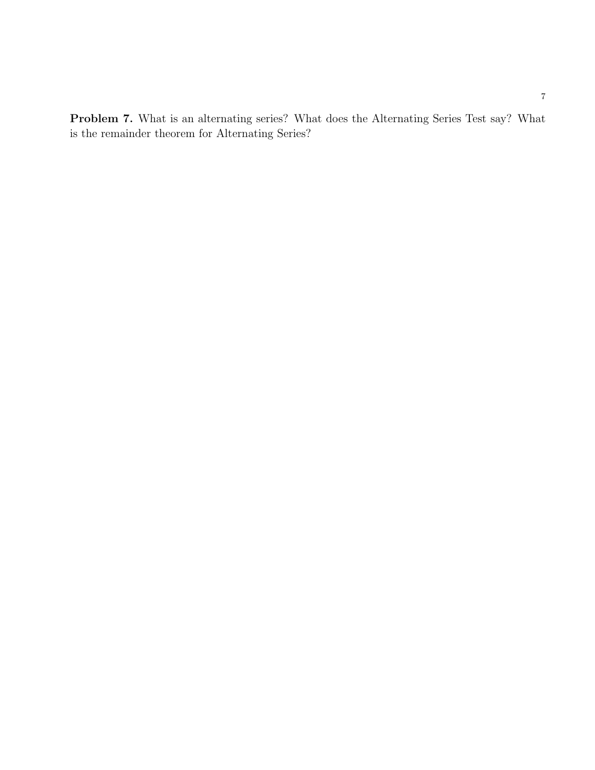Problem 7. What is an alternating series? What does the Alternating Series Test say? What is the remainder theorem for Alternating Series?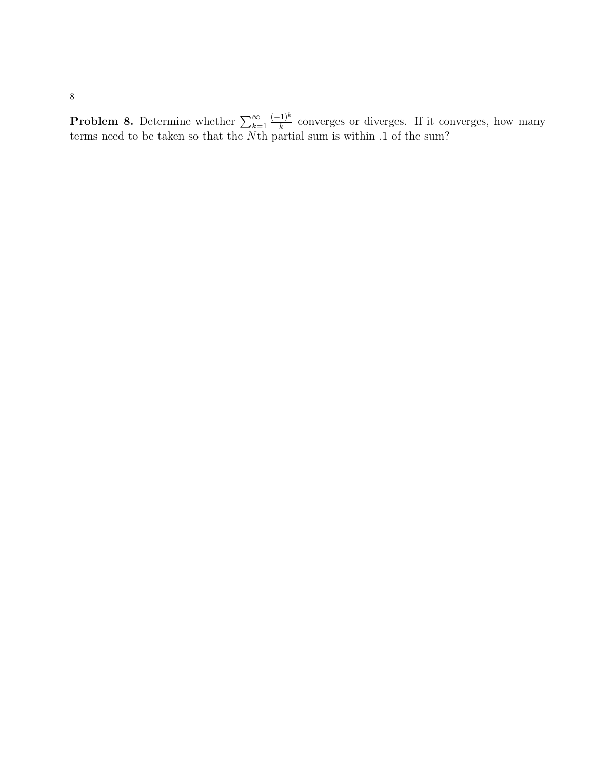**Problem 8.** Determine whether  $\sum_{k=1}^{\infty}$  $(-1)^k$  $\frac{f_1 f^{(1)}(x)}{k}$  converges or diverges. If it converges, how many terms need to be taken so that the Nth partial sum is within .1 of the sum?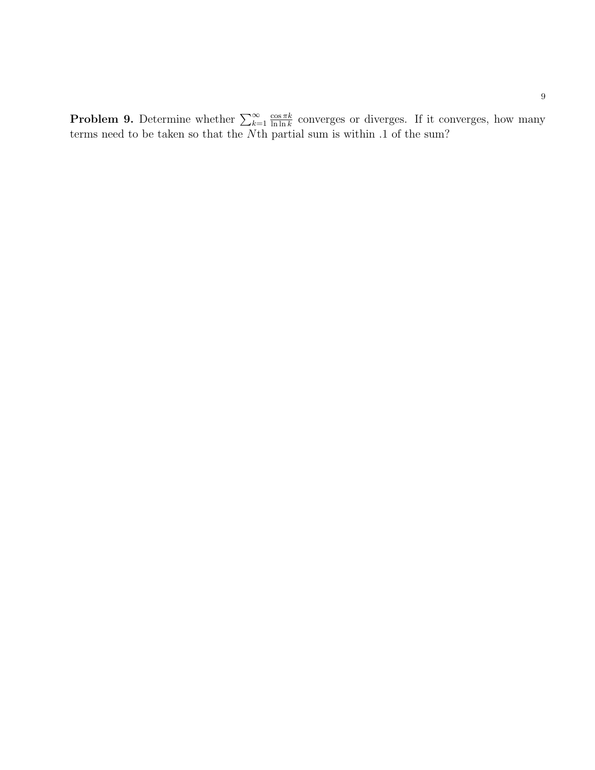**Problem 9.** Determine whether  $\sum_{k=1}^{\infty}$  $\cos \pi k$  $\frac{\cos \pi k}{\ln \ln k}$  converges or diverges. If it converges, how many terms need to be taken so that the Nth partial sum is within .1 of the sum?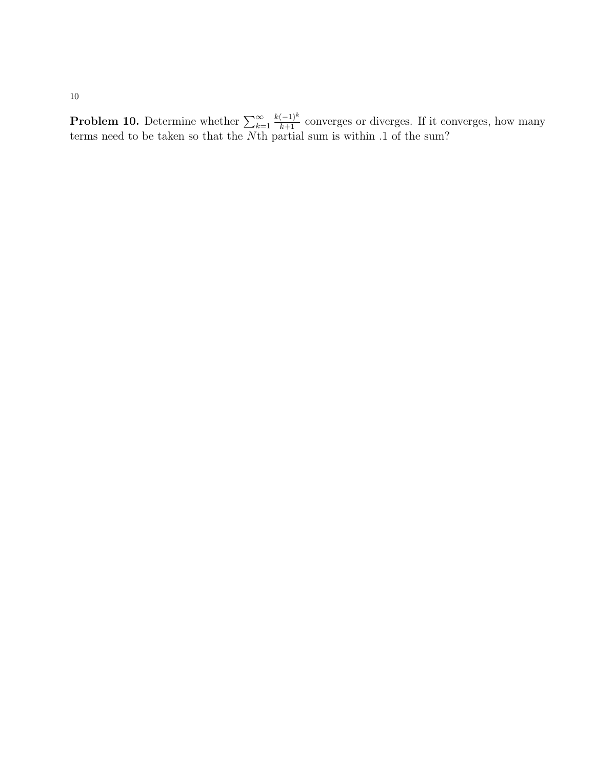**Problem 10.** Determine whether  $\sum_{k=1}^{\infty}$  $\frac{k(-1)^k}{k+1}$  converges or diverges. If it converges, how many terms need to be taken so that the Nth partial sum is within .1 of the sum?

10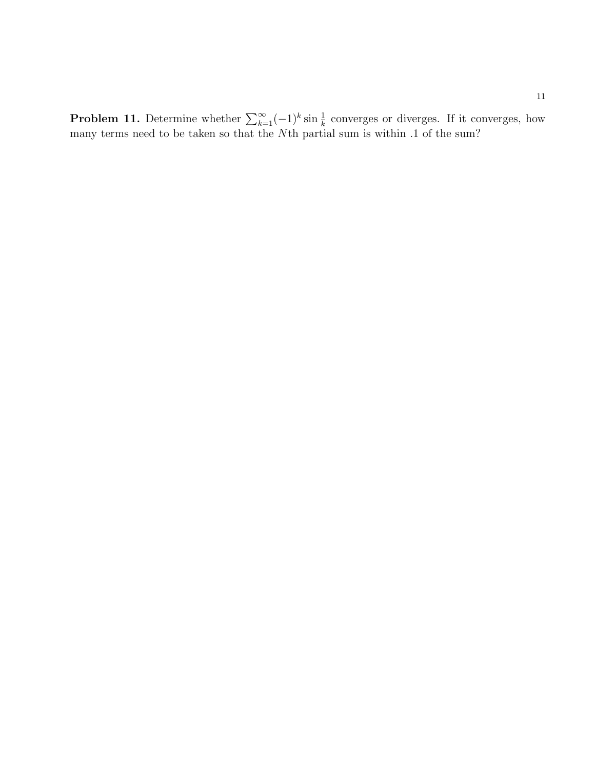**Problem 11.** Determine whether  $\sum_{k=1}^{\infty}(-1)^k \sin \frac{1}{k}$  converges or diverges. If it converges, how many terms need to be taken so that the Nth partial sum is within .1 of the sum?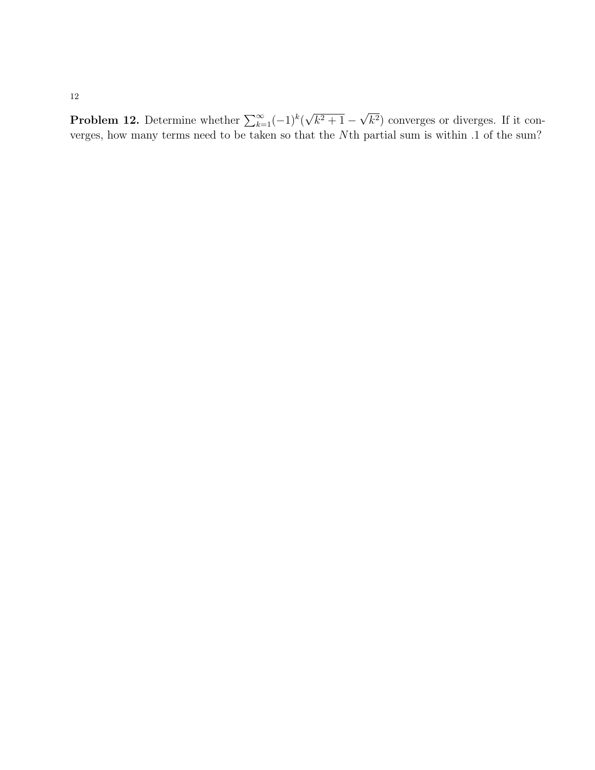12

**Problem 12.** Determine whether  $\sum_{k=1}^{\infty}(-1)^k$  ( √  $(k^2+1 -$ √  $(k<sup>2</sup>)$  converges or diverges. If it converges, how many terms need to be taken so that the Nth partial sum is within .1 of the sum?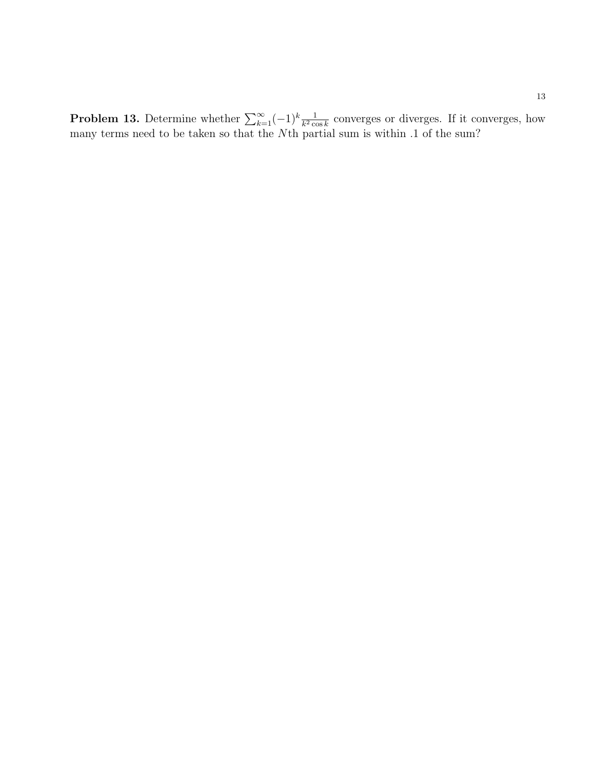**Problem 13.** Determine whether  $\sum_{k=1}^{\infty}(-1)^k \frac{1}{k^2 \cos k}$  converges or diverges. If it converges, how many terms need to be taken so that the Nth partial sum is within .1 of the sum?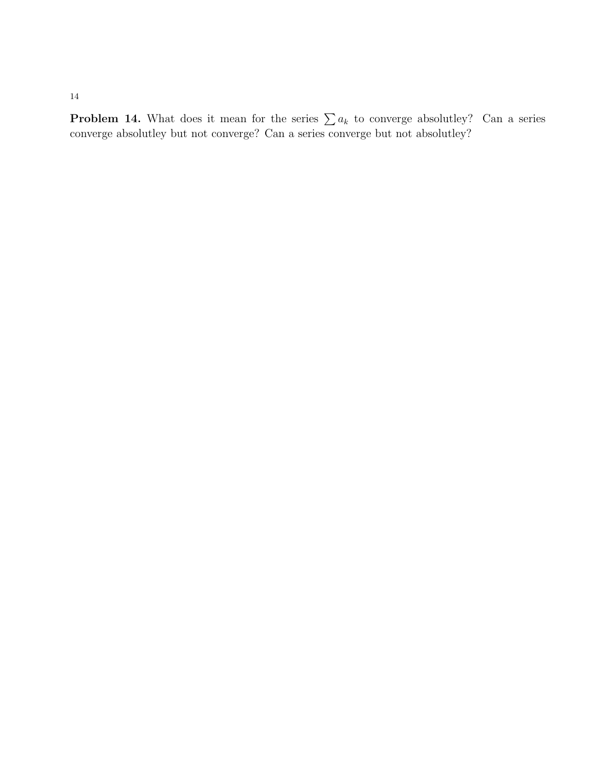**Problem 14.** What does it mean for the series  $\sum a_k$  to converge absolutley? Can a series converge absolutley but not converge? Can a series converge but not absolutley?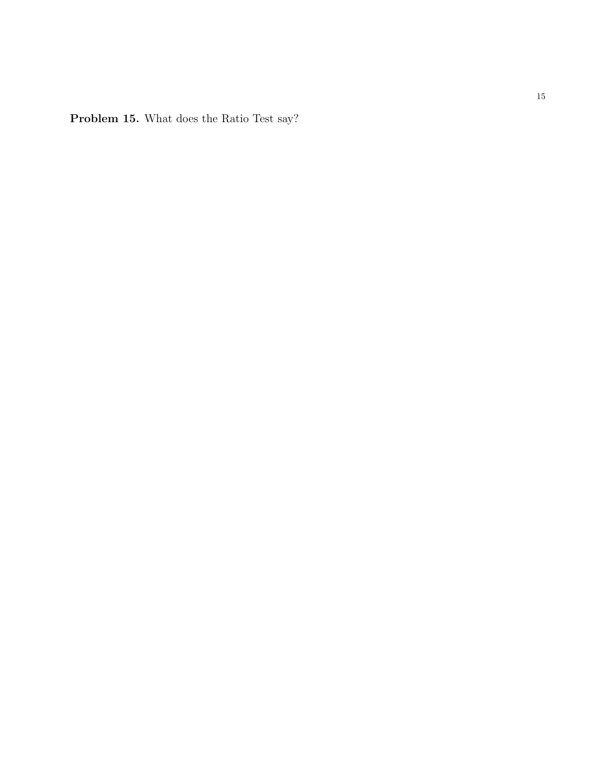Problem 15. What does the Ratio Test say?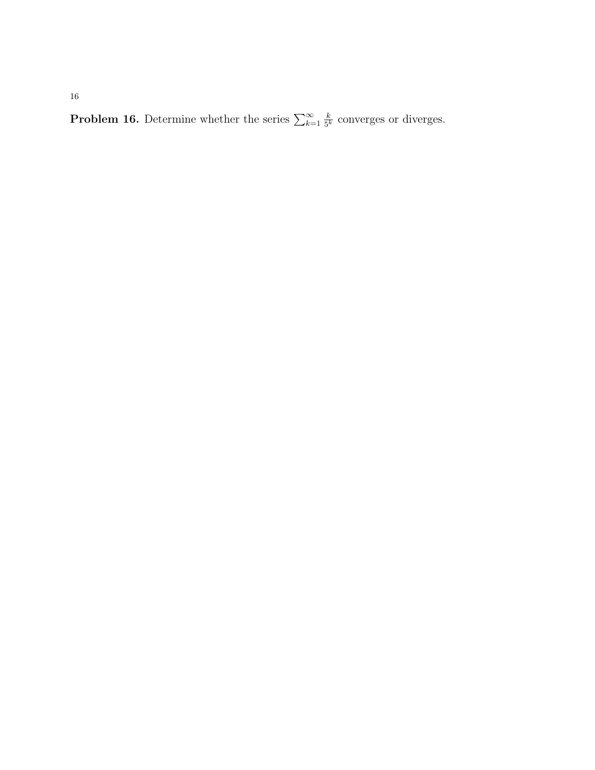**Problem 16.** Determine whether the series  $\sum_{k=1}^{\infty}$ k  $\frac{k}{5^k}$  converges or diverges.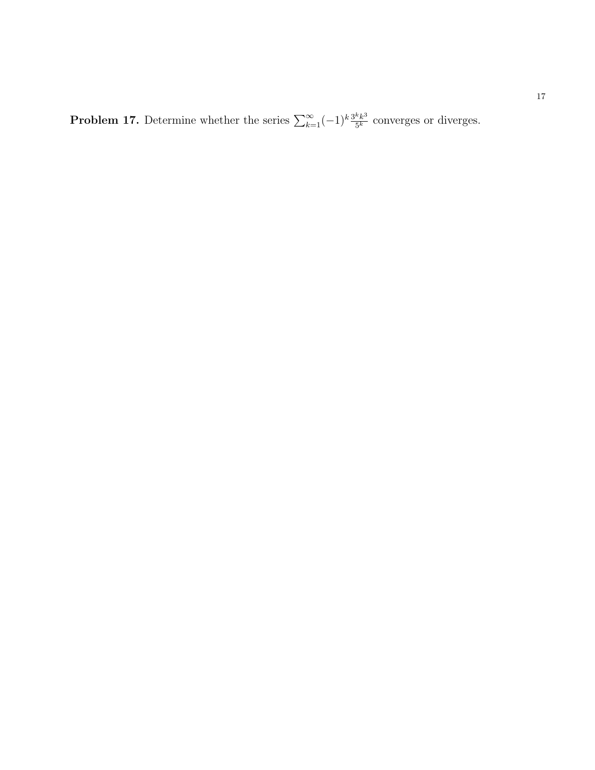**Problem 17.** Determine whether the series  $\sum_{k=1}^{\infty}(-1)^k \frac{3^k k^3}{5^k}$  $\frac{k k^3}{5^k}$  converges or diverges.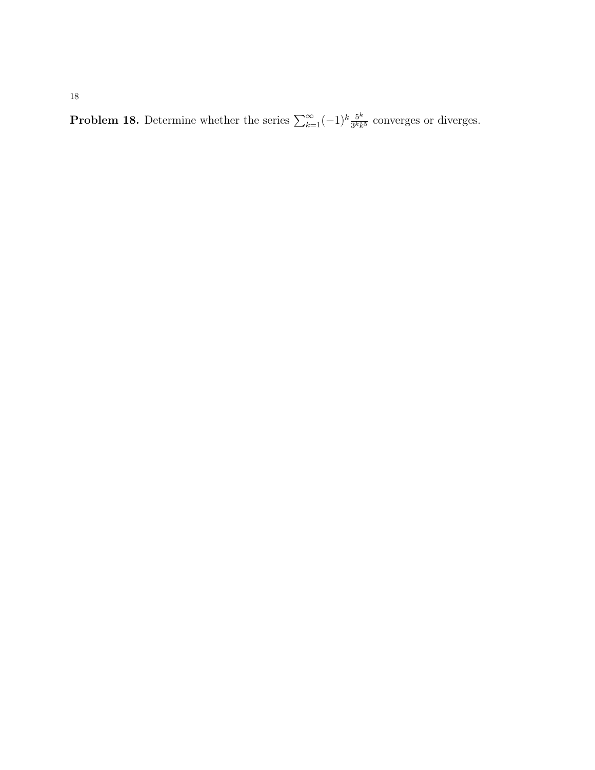**Problem 18.** Determine whether the series  $\sum_{k=1}^{\infty}(-1)^k \frac{5^k}{3^k k}$  $\frac{5^{\kappa}}{3^{k}k^{5}}$  converges or diverges.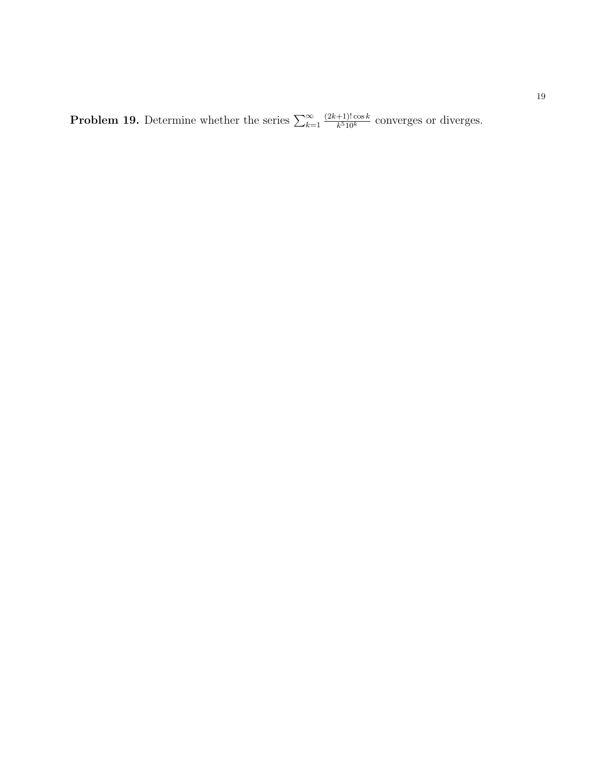**Problem 19.** Determine whether the series  $\sum_{k=1}^{\infty}$  $(2k+1)! \cos k$  $\frac{+1! \cos k}{k^5 10^k}$  converges or diverges.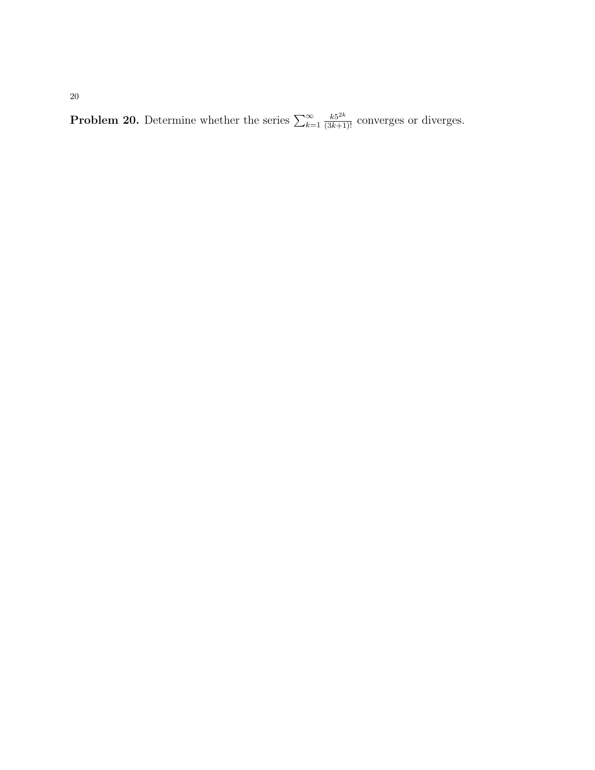**Problem 20.** Determine whether the series  $\sum_{k=1}^{\infty}$  $\frac{k5^{2k}}{(3k+1)!}$  converges or diverges.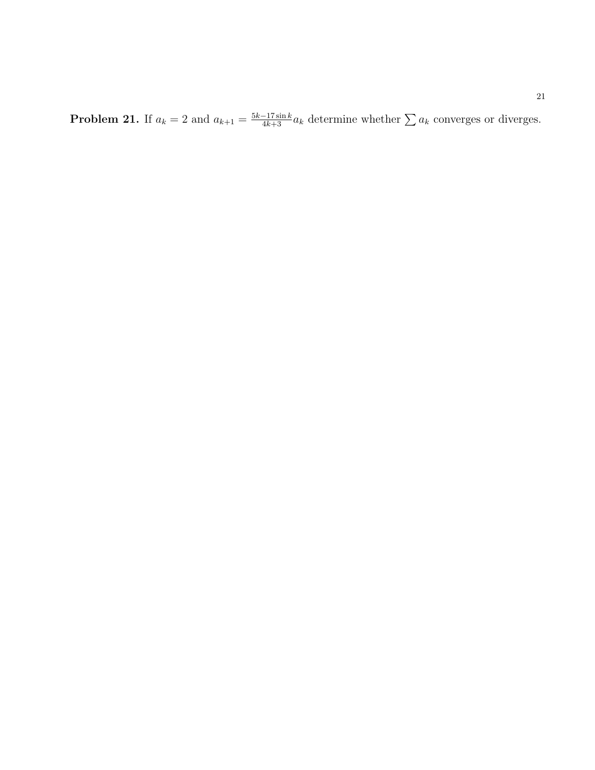**Problem 21.** If  $a_k = 2$  and  $a_{k+1} = \frac{5k-17\sin k}{4k+3}a_k$  determine whether  $\sum a_k$  converges or diverges.